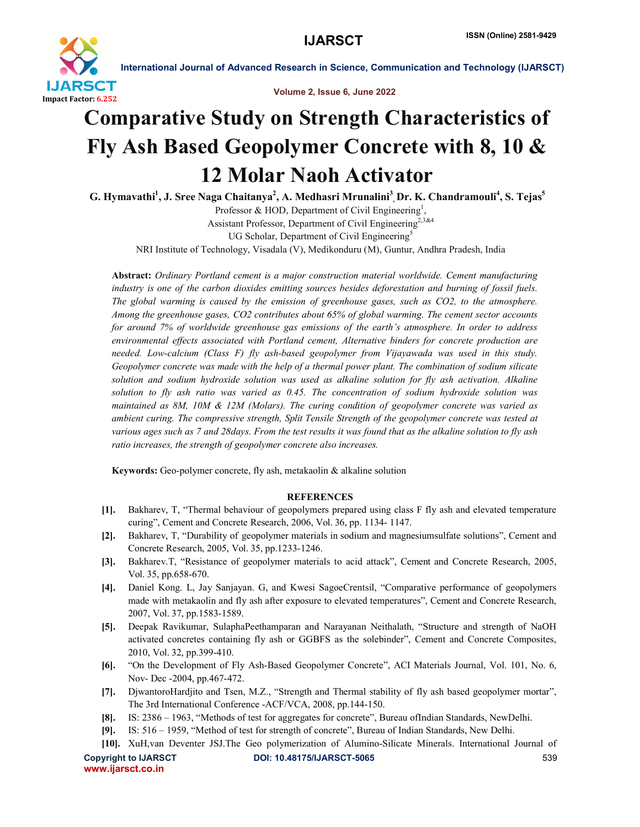

International Journal of Advanced Research in Science, Communication and Technology (IJARSCT)

Volume 2, Issue 6, June 2022

## Comparative Study on Strength Characteristics of Fly Ash Based Geopolymer Concrete with 8, 10 & 12 Molar Naoh Activator

G. Hymavathi<sup>1</sup>, J. Sree Naga Chaitanya<sup>2</sup>, A. Medhasri Mrunalini<sup>3</sup>, Dr. K. Chandramouli<sup>4</sup>, S. Tejas<sup>5</sup> Professor & HOD, Department of Civil Engineering<sup>1</sup>,

Assistant Professor, Department of Civil Engineering<sup>2,3&4</sup> UG Scholar, Department of Civil Engineering<sup>5</sup>

NRI Institute of Technology, Visadala (V), Medikonduru (M), Guntur, Andhra Pradesh, India

Abstract: *Ordinary Portland cement is a major construction material worldwide. Cement manufacturing industry is one of the carbon dioxides emitting sources besides deforestation and burning of fossil fuels. The global warming is caused by the emission of greenhouse gases, such as CO2, to the atmosphere. Among the greenhouse gases, CO2 contributes about 65% of global warming. The cement sector accounts for around 7% of worldwide greenhouse gas emissions of the earth's atmosphere. In order to address environmental effects associated with Portland cement, Alternative binders for concrete production are needed. Low-calcium (Class F) fly ash-based geopolymer from Vijayawada was used in this study. Geopolymer concrete was made with the help of a thermal power plant. The combination of sodium silicate solution and sodium hydroxide solution was used as alkaline solution for fly ash activation. Alkaline solution to fly ash ratio was varied as 0.45. The concentration of sodium hydroxide solution was maintained as 8M, 10M & 12M (Molars). The curing condition of geopolymer concrete was varied as ambient curing. The compressive strength, Split Tensile Strength of the geopolymer concrete was tested at various ages such as 7 and 28days. From the test results it was found that as the alkaline solution to fly ash ratio increases, the strength of geopolymer concrete also increases.*

Keywords: Geo-polymer concrete, fly ash, metakaolin & alkaline solution

## **REFERENCES**

- [1]. Bakharev, T, "Thermal behaviour of geopolymers prepared using class F fly ash and elevated temperature curing", Cement and Concrete Research, 2006, Vol. 36, pp. 1134- 1147.
- [2]. Bakharev, T, "Durability of geopolymer materials in sodium and magnesiumsulfate solutions", Cement and Concrete Research, 2005, Vol. 35, pp.1233-1246.
- [3]. Bakharev.T, "Resistance of geopolymer materials to acid attack", Cement and Concrete Research, 2005, Vol. 35, pp.658-670.
- [4]. Daniel Kong. L, Jay Sanjayan. G, and Kwesi SagoeCrentsil, "Comparative performance of geopolymers made with metakaolin and fly ash after exposure to elevated temperatures", Cement and Concrete Research, 2007, Vol. 37, pp.1583-1589.
- [5]. Deepak Ravikumar, SulaphaPeethamparan and Narayanan Neithalath, "Structure and strength of NaOH activated concretes containing fly ash or GGBFS as the solebinder", Cement and Concrete Composites, 2010, Vol. 32, pp.399-410.
- [6]. "On the Development of Fly Ash-Based Geopolymer Concrete", ACI Materials Journal, Vol. 101, No. 6, Nov- Dec -2004, pp.467-472.
- [7]. DjwantoroHardjito and Tsen, M.Z., "Strength and Thermal stability of fly ash based geopolymer mortar", The 3rd International Conference -ACF/VCA, 2008, pp.144-150.
- [8]. IS: 2386 1963, "Methods of test for aggregates for concrete", Bureau ofIndian Standards, NewDelhi.
- [9]. IS: 516 1959, "Method of test for strength of concrete", Bureau of Indian Standards, New Delhi.
- [10]. XuH,van Deventer JSJ.The Geo polymerization of Alumino-Silicate Minerals. International Journal of